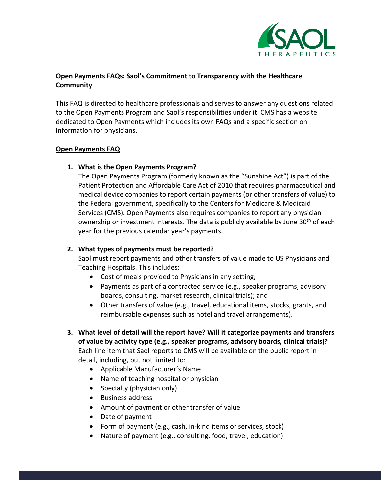

# **Open Payments FAQs: Saol's Commitment to Transparency with the Healthcare Community**

This FAQ is directed to healthcare professionals and serves to answer any questions related to the Open Payments Program and Saol's responsibilities under it. CMS has a website dedicated to Open Payments which includes its own FAQs and a specific section on information for physicians.

## **Open Payments FAQ**

## **1. What is the Open Payments Program?**

The Open Payments Program (formerly known as the "Sunshine Act") is part of the Patient Protection and Affordable Care Act of 2010 that requires pharmaceutical and medical device companies to report certain payments (or other transfers of value) to the Federal government, specifically to the Centers for Medicare & Medicaid Services (CMS). Open Payments also requires companies to report any physician ownership or investment interests. The data is publicly available by June 30<sup>th</sup> of each year for the previous calendar year's payments.

## **2. What types of payments must be reported?**

Saol must report payments and other transfers of value made to US Physicians and Teaching Hospitals. This includes:

- Cost of meals provided to Physicians in any setting;
- Payments as part of a contracted service (e.g., speaker programs, advisory boards, consulting, market research, clinical trials); and
- Other transfers of value (e.g., travel, educational items, stocks, grants, and reimbursable expenses such as hotel and travel arrangements).
- **3. What level of detail will the report have? Will it categorize payments and transfers of value by activity type (e.g., speaker programs, advisory boards, clinical trials)?** Each line item that Saol reports to CMS will be available on the public report in detail, including, but not limited to:
	- Applicable Manufacturer's Name
	- Name of teaching hospital or physician
	- Specialty (physician only)
	- Business address
	- Amount of payment or other transfer of value
	- Date of payment
	- Form of payment (e.g., cash, in-kind items or services, stock)
	- Nature of payment (e.g., consulting, food, travel, education)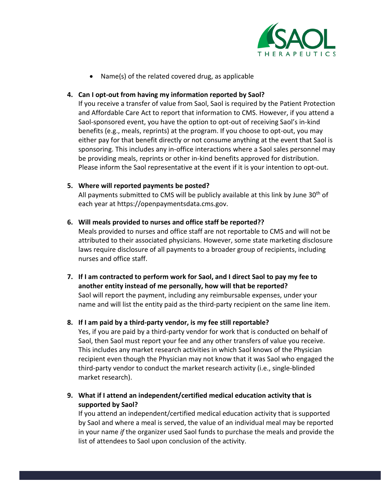

• Name(s) of the related covered drug, as applicable

### **4. Can I opt-out from having my information reported by Saol?**

If you receive a transfer of value from Saol, Saol is required by the Patient Protection and Affordable Care Act to report that information to CMS. However, if you attend a Saol-sponsored event, you have the option to opt-out of receiving Saol's in-kind benefits (e.g., meals, reprints) at the program. If you choose to opt-out, you may either pay for that benefit directly or not consume anything at the event that Saol is sponsoring. This includes any in-office interactions where a Saol sales personnel may be providing meals, reprints or other in-kind benefits approved for distribution. Please inform the Saol representative at the event if it is your intention to opt-out.

### **5. Where will reported payments be posted?**

All payments submitted to CMS will be publicly available at this link by June  $30<sup>th</sup>$  of each year at https://openpaymentsdata.cms.gov.

## **6. Will meals provided to nurses and office staff be reported??**

Meals provided to nurses and office staff are not reportable to CMS and will not be attributed to their associated physicians. However, some state marketing disclosure laws require disclosure of all payments to a broader group of recipients, including nurses and office staff.

**7. If I am contracted to perform work for Saol, and I direct Saol to pay my fee to another entity instead of me personally, how will that be reported?** Saol will report the payment, including any reimbursable expenses, under your name and will list the entity paid as the third-party recipient on the same line item.

# **8. If I am paid by a third-party vendor, is my fee still reportable?**

Yes, if you are paid by a third-party vendor for work that is conducted on behalf of Saol, then Saol must report your fee and any other transfers of value you receive. This includes any market research activities in which Saol knows of the Physician recipient even though the Physician may not know that it was Saol who engaged the third-party vendor to conduct the market research activity (i.e., single-blinded market research).

**9. What if I attend an independent/certified medical education activity that is supported by Saol?**

If you attend an independent/certified medical education activity that is supported by Saol and where a meal is served, the value of an individual meal may be reported in your name *if* the organizer used Saol funds to purchase the meals and provide the list of attendees to Saol upon conclusion of the activity.